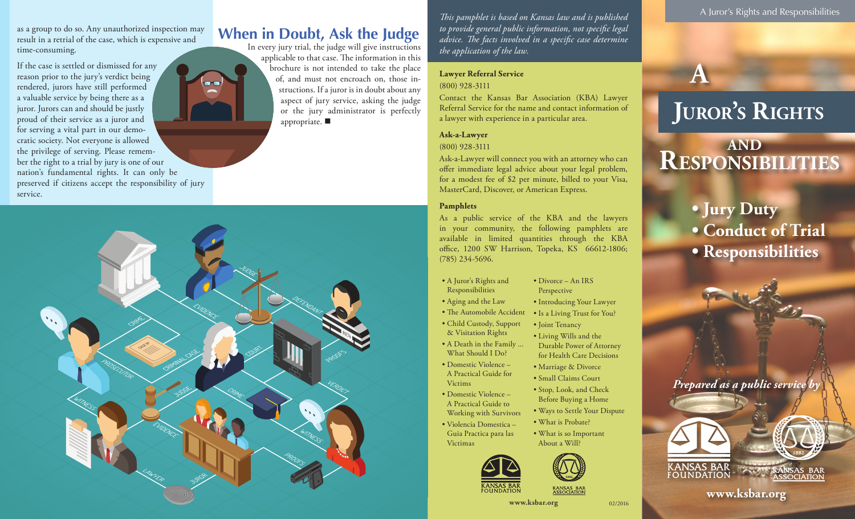as a group to do so. Any unauthorized inspection may result in a retrial of the case, which is expensive and time-consuming.

preserved if citizens accept the responsibility of jury

If the case is settled or dismissed for any reason prior to the jury's verdict being rendered, jurors have still performed a valuable service by being there as a juror. Jurors can and should be justly proud of their service as a juror and for serving a vital part in our democratic society. Not everyone is allowed the privilege of serving. Please remember the right to a trial by jury is one of our nation's fundamental rights. It can only be

service.

## **When in Doubt, Ask the Judge**

In every jury trial, the judge will give instructions applicable to that case. The information in this brochure is not intended to take the place of, and must not encroach on, those instructions. If a juror is in doubt about any aspect of jury service, asking the judge or the jury administrator is perfectly appropriate.  $\blacksquare$ 

*This pamphlet is based on Kansas law and is published to provide general public information, not specific legal advice. The facts involved in a specific case determine the application of the law.*

#### **Lawyer Referral Service** (800) 928-3111

Contact the Kansas Bar Association (KBA) Lawyer Referral Service for the name and contact information of a lawyer with experience in a particular area.

### **Ask-a-Lawyer**

#### (800) 928-3111

Ask-a-Lawyer will connect you with an attorney who can offer immediate legal advice about your legal problem, for a modest fee of \$2 per minute, billed to your Visa, MasterCard, Discover, or American Express.

#### **Pamphlets**

As a public service of the KBA and the lawyers in your community, the following pamphlets are available in limited quantities through the KBA office, 1200 SW Harrison, Topeka, KS 66612-1806; (785) 234-5696.

> • Divorce – An IRS Perspective

• Introducing Your Lawyer

Durable Power of Attorney for Health Care Decisions • Marriage & Divorce • Small Claims Court • Stop, Look, and Check Before Buying a Home • Ways to Settle Your Dispute

- A Juror's Rights and
	- Is a Living Trust for You?
- Joint Tenancy • Living Wills and the
- A Death in the Family ...
- Domestic Violence –
- Victims
- 
- - What is so Important



02/2016

A Juror's Rights and Responsibilities

# **a**

# **Juror's Rights**

# **Responsibilities and**

**• Jury Duty • Conduct of Trial • Responsibilities**

*Prepared as a public service b* 



**www.ksbar.org www.ksbar.org**



- Responsibilities
- Aging and the Law
- The Automobile Accident
- Child Custody, Support & Visitation Rights
- What Should I Do?
- A Practical Guide for
- Domestic Violence A Practical Guide to
- Working with Survivors • Violencia Domestica –
	-













- What is Probate? About a Will?
- Guia Practica para las Victimas